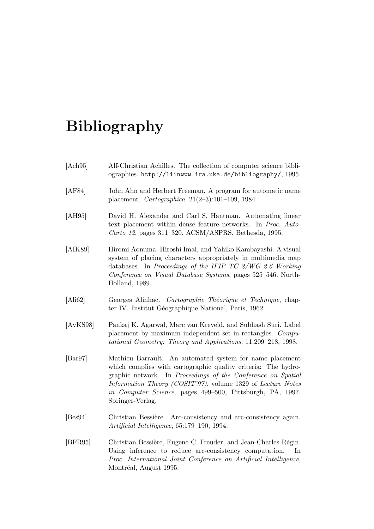## Bibliography

| [Ach95]                     | Alf-Christian Achilles. The collection of computer science bibli-<br>ographies. http://liinwww.ira.uka.de/bibliography/, 1995.                                                                                                                                                                                                            |  |  |  |  |  |
|-----------------------------|-------------------------------------------------------------------------------------------------------------------------------------------------------------------------------------------------------------------------------------------------------------------------------------------------------------------------------------------|--|--|--|--|--|
| [AF84]                      | John Ahn and Herbert Freeman. A program for automatic name<br>placement. <i>Cartographica</i> , $21(2-3):101-109$ , 1984.                                                                                                                                                                                                                 |  |  |  |  |  |
| [AH95]                      | David H. Alexander and Carl S. Hantman. Automating linear<br>text placement within dense feature networks. In Proc. Auto-<br>Carto 12, pages 311-320. ACSM/ASPRS, Bethesda, 1995.                                                                                                                                                         |  |  |  |  |  |
| [AIK89]                     | Hiromi Aonuma, Hiroshi Imai, and Yahiko Kambayashi. A visual<br>system of placing characters appropriately in multimedia map<br>databases. In Proceedings of the IFIP TC $2/WG$ 2.6 Working<br>Conference on Visual Database Systems, pages 525–546. North-<br>Holland, 1989.                                                             |  |  |  |  |  |
| [Ali62]                     | Georges Alinhac. Cartographie Théorique et Technique, chap-<br>ter IV. Institut Géographique National, Paris, 1962.                                                                                                                                                                                                                       |  |  |  |  |  |
| [AvKS98]                    | Pankaj K. Agarwal, Marc van Kreveld, and Subhash Suri. Label<br>placement by maximum independent set in rectangles. Compu-<br>tational Geometry: Theory and Applications, 11:209-218, 1998.                                                                                                                                               |  |  |  |  |  |
| $\left[\text{Bar}97\right]$ | Mathieu Barrault. An automated system for name placement<br>which complies with cartographic quality criteria: The hydro-<br>graphic network. In Proceedings of the Conference on Spatial<br>Information Theory (COSIT'97), volume 1329 of Lecture Notes<br>in Computer Science, pages 499–500, Pittsburgh, PA, 1997.<br>Springer-Verlag. |  |  |  |  |  |
| [Bes94]                     | Christian Bessière. Arc-consistency and arc-consistency again.<br>Artificial Intelligence, 65:179-190, 1994.                                                                                                                                                                                                                              |  |  |  |  |  |
| [BFR95]                     | Christian Bessière, Eugene C. Freuder, and Jean-Charles Régin.<br>Using inference to reduce arc-consistency computation.<br>$\ln$<br>Proc. International Joint Conference on Artificial Intelligence,<br>Montréal, August 1995.                                                                                                           |  |  |  |  |  |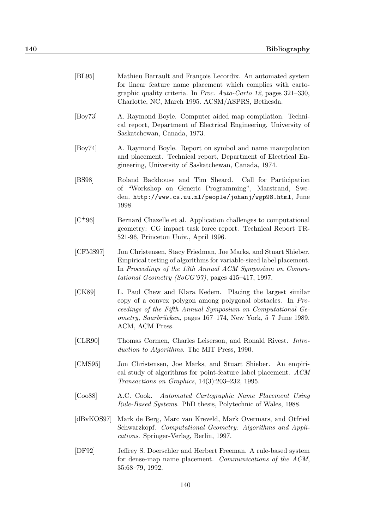| BL95              | Mathieu Barrault and François Lecordix. An automated system<br>for linear feature name placement which complies with carto-<br>graphic quality criteria. In <i>Proc. Auto-Carto 12</i> , pages $321-330$ ,<br>Charlotte, NC, March 1995. ACSM/ASPRS, Bethesda.                    |
|-------------------|-----------------------------------------------------------------------------------------------------------------------------------------------------------------------------------------------------------------------------------------------------------------------------------|
| [Boy73]           | A. Raymond Boyle. Computer aided map compilation. Techni-<br>cal report, Department of Electrical Engineering, University of<br>Saskatchewan, Canada, 1973.                                                                                                                       |
| [Boy74]           | A. Raymond Boyle. Report on symbol and name manipulation<br>and placement. Technical report, Department of Electrical En-<br>gineering, University of Saskatchewan, Canada, 1974.                                                                                                 |
| [BS98]            | Roland Backhouse and Tim Sheard. Call for Participation<br>of "Workshop on Generic Programming", Marstrand, Swe-<br>den. http://www.cs.uu.nl/people/johanj/wgp98.html, June<br>1998.                                                                                              |
| $[C+96]$          | Bernard Chazelle et al. Application challenges to computational<br>geometry: CG impact task force report. Technical Report TR-<br>521-96, Princeton Univ., April 1996.                                                                                                            |
| [CFMS97]          | Jon Christensen, Stacy Friedman, Joe Marks, and Stuart Shieber.<br>Empirical testing of algorithms for variable-sized label placement.<br>In Proceedings of the 13th Annual ACM Symposium on Compu-<br>tational Geometry (SoCG'97), pages $415-417$ , 1997.                       |
| [CK89]            | L. Paul Chew and Klara Kedem. Placing the largest similar<br>copy of a convex polygon among polygonal obstacles. In Pro-<br>ceedings of the Fifth Annual Symposium on Computational Ge-<br><i>ometry, Saarbrücken, pages 167–174, New York, 5–7 June 1989.</i><br>ACM, ACM Press. |
| [CLR90]           | Thomas Cormen, Charles Leiserson, and Ronald Rivest. Intro-<br>duction to Algorithms. The MIT Press, 1990.                                                                                                                                                                        |
| [CMS5]            | Jon Christensen, Joe Marks, and Stuart Shieber. An empiri-<br>cal study of algorithms for point-feature label placement. ACM<br><i>Transactions on Graphics</i> , $14(3):203-232$ , 1995.                                                                                         |
| [ $\text{Co}88$ ] | A.C. Cook.<br>Automated Cartographic Name Placement Using<br>Rule-Based Systems. PhD thesis, Polytechnic of Wales, 1988.                                                                                                                                                          |
| [dBvKOS97]        | Mark de Berg, Marc van Kreveld, Mark Overmars, and Otfried                                                                                                                                                                                                                        |

- Schwarzkopf. Computational Geometry: Algorithms and Applications. Springer-Verlag, Berlin, 1997.
- [DF92] Jeffrey S. Doerschler and Herbert Freeman. A rule-based system for dense-map name placement. Communications of the ACM, 35:68–79, 1992.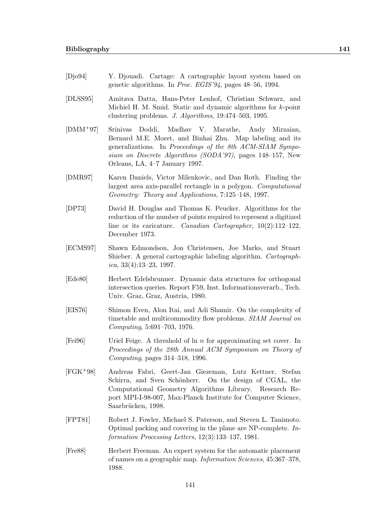- [Djo94] Y. Djouadi. Cartage: A cartographic layout system based on genetic algorithms. In Proc. EGIS'94, pages 48–56, 1994.
- [DLSS95] Amitava Datta, Hans-Peter Lenhof, Christian Schwarz, and Michiel H. M. Smid. Static and dynamic algorithms for k-point clustering problems. J. Algorithms, 19:474–503, 1995.
- [DMM+97] Srinivas Doddi, Madhav V. Marathe, Andy Mirzaian, Bernard M.E. Moret, and Binhai Zhu. Map labeling and its generalizations. In Proceedings of the 8th ACM-SIAM Symposium on Discrete Algorithms (SODA'97), pages 148–157, New Orleans, LA, 4–7 January 1997.
- [DMR97] Karen Daniels, Victor Milenkovic, and Dan Roth. Finding the largest area axis-parallel rectangle in a polygon. Computational Geometry: Theory and Applications, 7:125–148, 1997.
- [DP73] David H. Douglas and Thomas K. Peucker. Algorithms for the reduction of the number of points required to represent a digitized line or its caricature. *Canadian Cartographer*, 10(2):112-122, December 1973.
- [ECMS97] Shawn Edmondson, Jon Christensen, Joe Marks, and Stuart Shieber. A general cartographic labeling algorithm. Cartographica, 33(4):13–23, 1997.
- [Ede80] Herbert Edelsbrunner. Dynamic data structures for orthogonal intersection queries. Report F59, Inst. Informationsverarb., Tech. Univ. Graz, Graz, Austria, 1980.
- [EIS76] Shimon Even, Alon Itai, and Adi Shamir. On the complexity of timetable and multicommodity flow problems. SIAM Journal on Computing, 5:691–703, 1976.
- [Fei96] Uriel Feige. A threshold of ln n for approximating set cover. In Proceedings of the 28th Annual ACM Symposium on Theory of Computing, pages 314–318, 1996.
- [FGK+98] Andreas Fabri, Geert-Jan Giezeman, Lutz Kettner, Stefan Schirra, and Sven Schönherr. On the design of CGAL, the Computational Geometry Algorithms Library. Research Report MPI-I-98-007, Max-Planck Institute for Computer Science, Saarbrücken, 1998.
- [FPT81] Robert J. Fowler, Michael S. Paterson, and Steven L. Tanimoto. Optimal packing and covering in the plane are NP-complete. Information Processing Letters, 12(3):133–137, 1981.
- [Fre88] Herbert Freeman. An expert system for the automatic placement of names on a geographic map. Information Sciences, 45:367–378, 1988.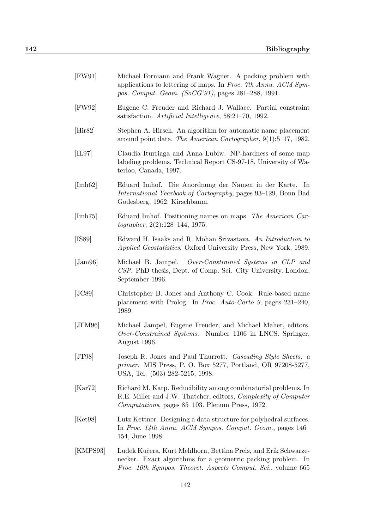| [FW91]           | Michael Formann and Frank Wagner. A packing problem with<br>applications to lettering of maps. In Proc. 7th Annu. ACM Sym-<br>pos. Comput. Geom. (SoCG'91), pages 281-288, 1991. |
|------------------|----------------------------------------------------------------------------------------------------------------------------------------------------------------------------------|
| [FW92]           | Eugene C. Freuder and Richard J. Wallace. Partial constraint<br>satisfaction. Artificial Intelligence, 58:21-70, 1992.                                                           |
| [His 82]         | Stephen A. Hirsch. An algorithm for automatic name placement<br>around point data. The American Cartographer, $9(1):5-17$ , 1982.                                                |
| [IL97]           | Claudia Iturriaga and Anna Lubiw. NP-hardness of some map<br>labeling problems. Technical Report CS-97-18, University of Wa-<br>terloo, Canada, 1997.                            |
| [Imh62]          | Eduard Imhof. Die Anordnung der Namen in der Karte. In<br><i>International Yearbook of Cartography</i> , pages 93–129, Bonn Bad<br>Godesberg, 1962. Kirschbaum.                  |
| [Imh75]          | Eduard Imhof. Positioning names on maps. The American Car-<br>$to grapher, 2(2):128-144, 1975.$                                                                                  |
| [ISS9]           | Edward H. Isaaks and R. Mohan Srivastava. An Introduction to<br><i>Applied Geostatistics.</i> Oxford University Press, New York, 1989.                                           |
| $[\text{Jam96}]$ | Michael B. Jampel. Over-Constrained Systems in CLP and<br>CSP. PhD thesis, Dept. of Comp. Sci. City University, London,<br>September 1996.                                       |
|                  |                                                                                                                                                                                  |

- [JC89] Christopher B. Jones and Anthony C. Cook. Rule-based name placement with Prolog. In Proc. Auto-Carto 9, pages 231–240, 1989.
- [JFM96] Michael Jampel, Eugene Freuder, and Michael Maher, editors. Over-Constrained Systems. Number 1106 in LNCS. Springer, August 1996.
- [JT98] Joseph R. Jones and Paul Thurrott. Cascading Style Sheets: a primer. MIS Press, P. O. Box 5277, Portland, OR 97208-5277, USA, Tel: (503) 282-5215, 1998.
- [Kar72] Richard M. Karp. Reducibility among combinatorial problems. In R.E. Miller and J.W. Thatcher, editors, Complexity of Computer Computations, pages 85–103. Plenum Press, 1972.
- [Ket98] Lutz Kettner. Designing a data structure for polyhedral surfaces. In Proc. 14th Annu. ACM Sympos. Comput. Geom., pages 146– 154, June 1998.
- [KMPS93] Ludek Kučera, Kurt Mehlhorn, Bettina Preis, and Erik Schwarzenecker. Exact algorithms for a geometric packing problem. In Proc. 10th Sympos. Theoret. Aspects Comput. Sci., volume 665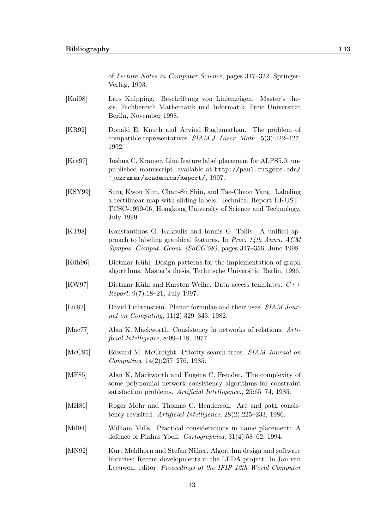of Lecture Notes in Computer Science, pages 317–322. Springer-Verlag, 1993.

- [Kni98] Lars Knipping. Beschriftung von Linienzügen. Master's thesis, Fachbereich Mathematik und Informatik, Freie Universität Berlin, November 1998.
- [KR92] Donald E. Knuth and Arvind Raghunathan. The problem of compatible representatives. SIAM J. Discr. Math., 5(3):422–427, 1992.
- [Kra97] Joshua C. Kramer. Line feature label placement for ALPS5.0. unpublished manuscript, available at http://paul.rutgers.edu/ ~jckramer/academics/Report/, 1997.
- [KSY99] Sung Kwon Kim, Chan-Su Shin, and Tae-Cheon Yang. Labeling a rectilinear map with sliding labels. Technical Report HKUST-TCSC-1999-06, Hongkong University of Science and Technology, July 1999.
- [KT98] Konstantinos G. Kakoulis and Ionnis G. Tollis. A unified approach to labeling graphical features. In Proc. 14th Annu. ACM Sympos. Comput. Geom. (SoCG'98), pages 347–356, June 1998.
- [Küh96] I Dietmar Kühl. Design patterns for the implementation of graph algorithms. Master's thesis, Technische Universität Berlin, 1996.
- [KW97] Dietmar Kühl and Karsten Weihe. Data access templates.  $C_{++}$ Report, 9(7):18–21, July 1997.
- [Lic82] David Lichtenstein. Planar formulae and their uses. SIAM Journal on Computing, 11(2):329–343, 1982.
- [Mac77] Alan K. Mackworth. Consistency in networks of relations. Artificial Intelligence, 8:99–118, 1977.
- [McC85] Edward M. McCreight. Priority search trees. SIAM Journal on Computing, 14(2):257–276, 1985.
- [MF85] Alan K. Mackworth and Eugene C. Freuder. The complexity of some polynomial network consistency algorithms for constraint satisfaction problems. Artificial Intelligence., 25:65–74, 1985.
- [MH86] Roger Mohr and Thomas C. Henderson. Arc and path consistency revisited. Artificial Intelligence, 28(2):225–233, 1986.
- [Mil94] William Mills. Practical considerations in name placement: A defence of Pinhas Yoeli. Cartographica, 31(4):58–62, 1994.
- [MN92] Kurt Mehlhorn and Stefan Näher. Algorithm design and software libraries: Recent developments in the LEDA project. In Jan van Leeuwen, editor, Proceedings of the IFIP 12th World Computer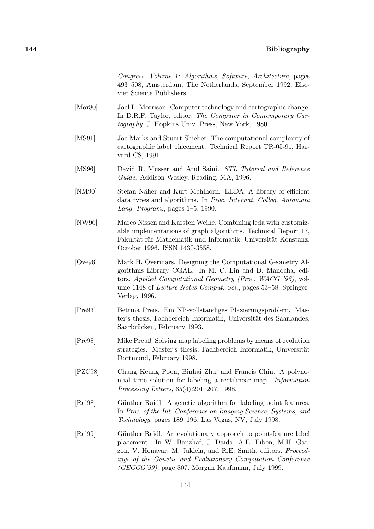Congress. Volume 1: Algorithms, Software, Architecture, pages 493–508, Amsterdam, The Netherlands, September 1992. Elsevier Science Publishers.

- [Mor80] Joel L. Morrison. Computer technology and cartographic change. In D.R.F. Taylor, editor, The Computer in Contemporary Cartography. J. Hopkins Univ. Press, New York, 1980.
- [MS91] Joe Marks and Stuart Shieber. The computational complexity of cartographic label placement. Technical Report TR-05-91, Harvard CS, 1991.
- [MS96] David R. Musser and Atul Saini. STL Tutorial and Reference Guide. Addison-Wesley, Reading, MA, 1996.
- [NM90] Stefan Näher and Kurt Mehlhorn. LEDA: A library of efficient data types and algorithms. In Proc. Internat. Colloq. Automata Lang. Program., pages 1–5, 1990.
- [NW96] Marco Nissen and Karsten Weihe. Combining leda with customizable implementations of graph algorithms. Technical Report 17, Fakultät für Mathematik und Informatik, Universität Konstanz, October 1996. ISSN 1430-3558.
- [Ove96] Mark H. Overmars. Designing the Computational Geometry Algorithms Library CGAL. In M. C. Lin and D. Manocha, editors, Applied Computational Geometry (Proc. WACG '96), volume 1148 of Lecture Notes Comput. Sci., pages 53–58. Springer-Verlag, 1996.
- [Pre93] Bettina Preis. Ein NP-vollst¨andiges Plazierungsproblem. Master's thesis, Fachbereich Informatik, Universität des Saarlandes, Saarbrücken, February 1993.
- [Pre98] Mike Preuß. Solving map labeling problems by means of evolution strategies. Master's thesis, Fachbereich Informatik, Universität Dortmund, February 1998.
- [PZC98] Chung Keung Poon, Binhai Zhu, and Francis Chin. A polynomial time solution for labeling a rectilinear map. Information Processing Letters, 65(4):201–207, 1998.
- [Rai98] Günther Raidl. A genetic algorithm for labeling point features. In Proc. of the Int. Conference on Imaging Science, Systems, and Technology, pages 189–196, Las Vegas, NV, July 1998.
- [Rai99] Günther Raidl. An evolutionary approach to point-feature label placement. In W. Banzhaf, J. Daida, A.E. Eiben, M.H. Garzon, V. Honavar, M. Jakiela, and R.E. Smith, editors, Proceedings of the Genetic and Evolutionary Computation Conference (GECCO'99), page 807. Morgan Kaufmann, July 1999.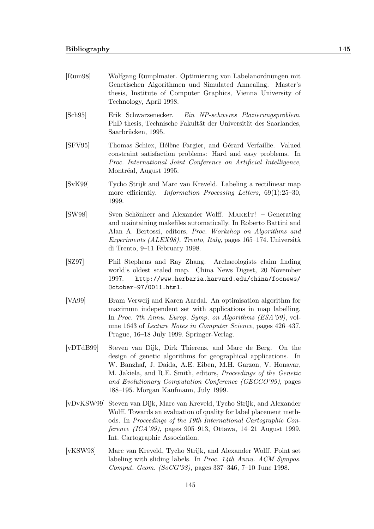- [Rum98] Wolfgang Rumplmaier. Optimierung von Labelanordnungen mit Genetischen Algorithmen und Simulated Annealing. Master's thesis, Institute of Computer Graphics, Vienna University of Technology, April 1998.
- [Sch95] Erik Schwarzenecker. Ein NP-schweres Plazierungsproblem. PhD thesis, Technische Fakultät der Universität des Saarlandes, Saarbrücken, 1995.
- [SFV95] Thomas Schiex, Hélène Fargier, and Gérard Verfaillie. Valued constraint satisfaction problems: Hard and easy problems. In Proc. International Joint Conference on Artificial Intelligence, Montréal, August 1995.
- [SvK99] Tycho Strijk and Marc van Kreveld. Labeling a rectilinear map more efficiently. Information Processing Letters, 69(1):25-30, 1999.
- [SW98] Sven Schönherr and Alexander Wolff. MAKEIT! Generating and maintaining makefiles automatically. In Roberto Battini and Alan A. Bertossi, editors, Proc. Workshop on Algorithms and  $Experiments (ALEX98), Trento, Italy, pages 165–174. Università$ di Trento, 9–11 February 1998.
- [SZ97] Phil Stephens and Ray Zhang. Archaeologists claim finding world's oldest scaled map. China News Digest, 20 November 1997. http://www.herbaria.harvard.edu/china/focnews/ October-97/0011.html.
- [VA99] Bram Verweij and Karen Aardal. An optimisation algorithm for maximum independent set with applications in map labelling. In Proc. 7th Annu. Europ. Symp. on Algorithms (ESA'99), volume 1643 of Lecture Notes in Computer Science, pages 426–437, Prague, 16–18 July 1999. Springer-Verlag.
- [vDTdB99] Steven van Dijk, Dirk Thierens, and Marc de Berg. On the design of genetic algorithms for geographical applications. In W. Banzhaf, J. Daida, A.E. Eiben, M.H. Garzon, V. Honavar, M. Jakiela, and R.E. Smith, editors, Proceedings of the Genetic and Evolutionary Computation Conference (GECCO'99), pages 188–195. Morgan Kaufmann, July 1999.
- [vDvKSW99] Steven van Dijk, Marc van Kreveld, Tycho Strijk, and Alexander Wolff. Towards an evaluation of quality for label placement methods. In Proceedings of the 19th International Cartographic Conference (ICA'99), pages 905–913, Ottawa, 14–21 August 1999. Int. Cartographic Association.
- [vKSW98] Marc van Kreveld, Tycho Strijk, and Alexander Wolff. Point set labeling with sliding labels. In Proc. 14th Annu. ACM Sympos. Comput. Geom. (SoCG'98), pages 337–346, 7–10 June 1998.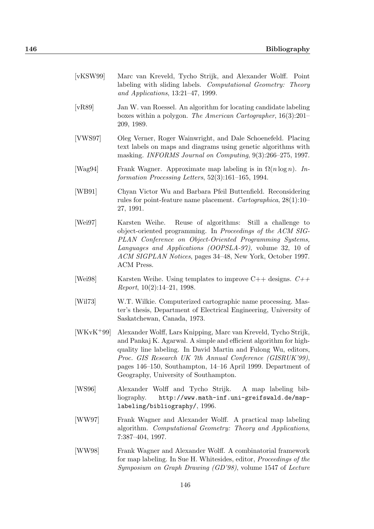| [vKSW99] | Marc van Kreveld, Tycho Strijk, and Alexander Wolff. Point |  |  |  |  |
|----------|------------------------------------------------------------|--|--|--|--|

- labeling with sliding labels. Computational Geometry: Theory and Applications, 13:21–47, 1999.
- [vR89] Jan W. van Roessel. An algorithm for locating candidate labeling boxes within a polygon. The American Cartographer, 16(3):201– 209, 1989.
- [VWS97] Oleg Verner, Roger Wainwright, and Dale Schoenefeld. Placing text labels on maps and diagrams using genetic algorithms with masking. INFORMS Journal on Computing, 9(3):266–275, 1997.
- [Wag94] Frank Wagner. Approximate map labeling is in  $\Omega(n \log n)$ . Information Processing Letters, 52(3):161–165, 1994.
- [WB91] Chyan Victor Wu and Barbara Pfeil Buttenfield. Reconsidering rules for point-feature name placement. Cartographica, 28(1):10– 27, 1991.
- [Wei97] Karsten Weihe. Reuse of algorithms: Still a challenge to object-oriented programming. In Proceedings of the ACM SIG-PLAN Conference on Object-Oriented Programming Systems, Languages and Applications (OOPSLA-97), volume 32, 10 of ACM SIGPLAN Notices, pages 34–48, New York, October 1997. ACM Press.
- [Wei98] Karsten Weihe. Using templates to improve  $C++$  designs.  $C++$ Report, 10(2):14–21, 1998.
- [Wil73] W.T. Wilkie. Computerized cartographic name processing. Master's thesis, Department of Electrical Engineering, University of Saskatchewan, Canada, 1973.
- [WKvK+99] Alexander Wolff, Lars Knipping, Marc van Kreveld, Tycho Strijk, and Pankaj K. Agarwal. A simple and efficient algorithm for highquality line labeling. In David Martin and Fulong Wu, editors, Proc. GIS Research UK 7th Annual Conference (GISRUK'99), pages 146–150, Southampton, 14–16 April 1999. Department of Geography, University of Southampton.
- [WS96] Alexander Wolff and Tycho Strijk. A map labeling bibliography. http://www.math-inf.uni-greifswald.de/maplabeling/bibliography/, 1996.
- [WW97] Frank Wagner and Alexander Wolff. A practical map labeling algorithm. Computational Geometry: Theory and Applications, 7:387–404, 1997.
- [WW98] Frank Wagner and Alexander Wolff. A combinatorial framework for map labeling. In Sue H. Whitesides, editor, Proceedings of the Symposium on Graph Drawing (GD'98), volume 1547 of Lecture